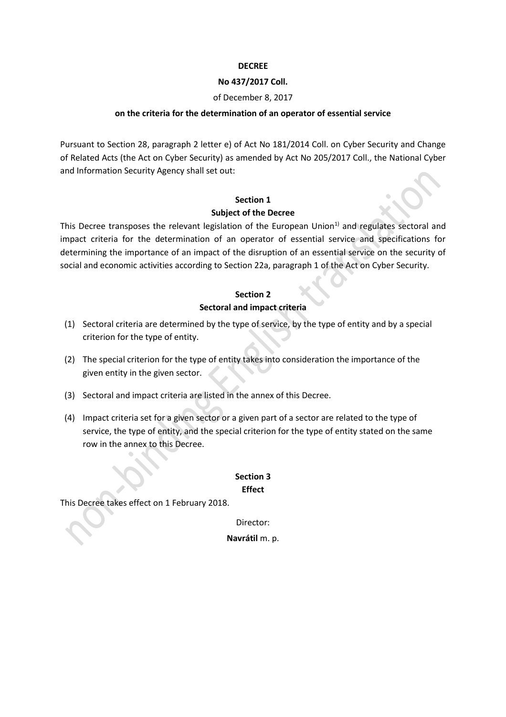### **DECREE**

### **No 437/2017 Coll.**

### of December 8, 2017

### **on the criteria for the determination of an operator of essential service**

Pursuant to Section [28,](http://www.beck-online.cz/bo/document-view.seam?documentId=onrf6mrqge2f6mjygexhazrsha) paragraph 2 letter e) of Act No 181/2014 Coll. on Cyber Security and Change of Related Acts [\(the Act on Cyber Security\)](http://www.beck-online.cz/bo/document-view.seam?documentId=onrf6mrqge2f6mjyge) as amended by Act No [205/2017 Coll.,](http://www.beck-online.cz/bo/document-view.seam?documentId=onrf6mrqge3v6mrqgu) the National Cyber and Information Security Agency shall set out:

# **Section 1 Subject of the Decree**

This Decree transposes the relevant legislation of the European Union<sup>1)</sup> and regulates sectoral and impact criteria for the determination of an operator of essential service and specifications for determining the importance of an impact of the disruption of an essential service on the security of social and economic activities according to Section 22a, paragraph 1 of the Act on Cyber Security.

## **Section 2 Sectoral and impact criteria**

- (1) Sectoral criteria are determined by the type of service, by the type of entity and by a special criterion for the type of entity.
- (2) The special criterion for the type of entity takes into consideration the importance of the given entity in the given sector.
- (3) Sectoral and impact criteria are listed in the annex of this Decree.
- (4) Impact criteria set for a given sector or a given part of a sector are related to the type of service, the type of entity, and the special criterion for the type of entity stated on the same row in the annex to this Decree.

## **Section 3 Effect**

This Decree takes effect on 1 February 2018.

Director:

**Navrátil** m. p.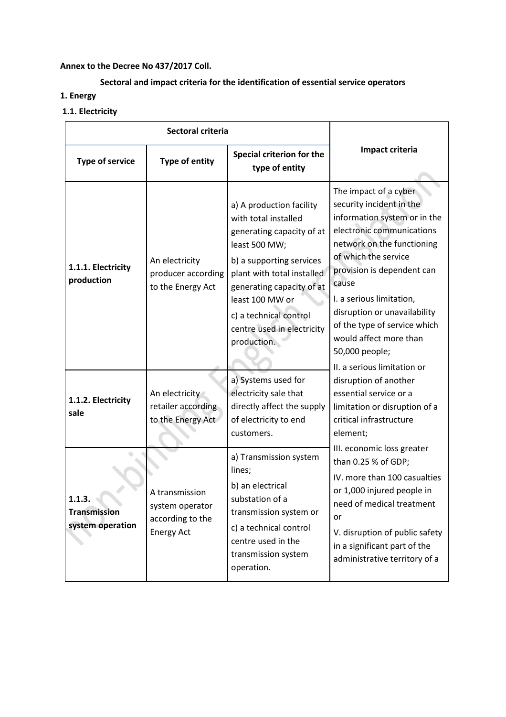## **Annex to the Decree No 437/2017 Coll.**

## **Sectoral and impact criteria for the identification of essential service operators**

- **1. Energy**
- **1.1. Electricity**

| Sectoral criteria                                 |                                                                            |                                                                                                                                                                                                                                                                                 |                                                                                                                                                                                                                                                                                                                                                                                    |
|---------------------------------------------------|----------------------------------------------------------------------------|---------------------------------------------------------------------------------------------------------------------------------------------------------------------------------------------------------------------------------------------------------------------------------|------------------------------------------------------------------------------------------------------------------------------------------------------------------------------------------------------------------------------------------------------------------------------------------------------------------------------------------------------------------------------------|
| <b>Type of service</b>                            | <b>Type of entity</b>                                                      | Special criterion for the<br>type of entity                                                                                                                                                                                                                                     | Impact criteria                                                                                                                                                                                                                                                                                                                                                                    |
| 1.1.1. Electricity<br>production                  | An electricity<br>producer according<br>to the Energy Act                  | a) A production facility<br>with total installed<br>generating capacity of at<br>least 500 MW;<br>b) a supporting services<br>plant with total installed<br>generating capacity of at<br>least 100 MW or<br>c) a technical control<br>centre used in electricity<br>production. | The impact of a cyber<br>security incident in the<br>information system or in the<br>electronic communications<br>network on the functioning<br>of which the service<br>provision is dependent can<br>cause<br>I. a serious limitation,<br>disruption or unavailability<br>of the type of service which<br>would affect more than<br>50,000 people;<br>II. a serious limitation or |
| 1.1.2. Electricity<br>sale                        | An electricity<br>retailer according<br>to the Energy Act                  | a) Systems used for<br>electricity sale that<br>directly affect the supply<br>of electricity to end<br>customers.                                                                                                                                                               | disruption of another<br>essential service or a<br>limitation or disruption of a<br>critical infrastructure<br>element;                                                                                                                                                                                                                                                            |
| 1.1.3.<br><b>Transmission</b><br>system operation | A transmission<br>system operator<br>according to the<br><b>Energy Act</b> | a) Transmission system<br>lines;<br>b) an electrical<br>substation of a<br>transmission system or<br>c) a technical control<br>centre used in the<br>transmission system<br>operation.                                                                                          | III. economic loss greater<br>than 0.25 % of GDP;<br>IV. more than 100 casualties<br>or 1,000 injured people in<br>need of medical treatment<br>or<br>V. disruption of public safety<br>in a significant part of the<br>administrative territory of a                                                                                                                              |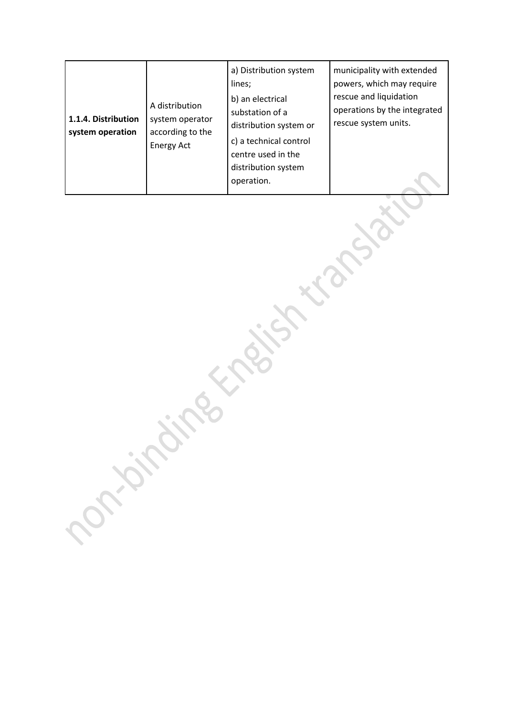| 1.1.4. Distribution<br>system operation | A distribution<br>system operator<br>according to the<br><b>Energy Act</b> | a) Distribution system<br>lines;<br>b) an electrical<br>substation of a<br>distribution system or<br>c) a technical control<br>centre used in the<br>distribution system<br>operation. | municipality with extended<br>powers, which may require<br>rescue and liquidation<br>operations by the integrated<br>rescue system units. |
|-----------------------------------------|----------------------------------------------------------------------------|----------------------------------------------------------------------------------------------------------------------------------------------------------------------------------------|-------------------------------------------------------------------------------------------------------------------------------------------|
|-----------------------------------------|----------------------------------------------------------------------------|----------------------------------------------------------------------------------------------------------------------------------------------------------------------------------------|-------------------------------------------------------------------------------------------------------------------------------------------|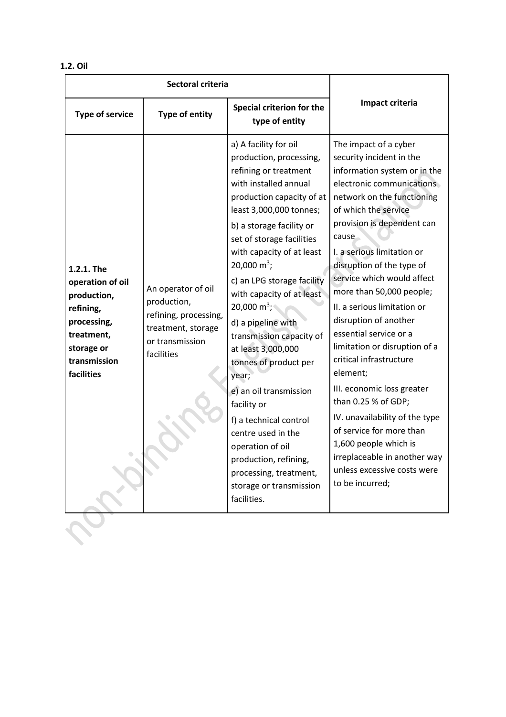|  | л<br>Ш<br>ı<br>M.<br>٧ |
|--|------------------------|
|--|------------------------|

| Impact criteria<br>Special criterion for the<br><b>Type of entity</b><br><b>Type of service</b><br>type of entity<br>a) A facility for oil<br>The impact of a cyber<br>production, processing,<br>security incident in the<br>refining or treatment<br>information system or in the<br>with installed annual<br>electronic communications<br>production capacity of at<br>network on the functioning<br>least 3,000,000 tonnes;<br>of which the service<br>provision is dependent can<br>b) a storage facility or<br>cause<br>set of storage facilities<br>with capacity of at least<br>I. a serious limitation or<br>20,000 $m^3$ ;<br>disruption of the type of<br>1.2.1. The<br>service which would affect<br>c) an LPG storage facility<br>operation of oil<br>An operator of oil<br>more than 50,000 people;<br>with capacity of at least<br>production,<br>production,<br>20,000 m <sup>3</sup> ;<br>II. a serious limitation or<br>refining,<br>refining, processing,<br>disruption of another<br>processing,<br>d) a pipeline with<br>treatment, storage<br>essential service or a<br>treatment,<br>transmission capacity of<br>or transmission<br>limitation or disruption of a<br>storage or<br>at least 3,000,000<br>facilities<br>critical infrastructure<br>transmission<br>tonnes of product per<br>element;<br>facilities<br>year;<br>III. economic loss greater<br>e) an oil transmission<br>than 0.25 % of GDP;<br>facility or<br>IV. unavailability of the type<br>f) a technical control<br>of service for more than<br>centre used in the<br>1,600 people which is<br>operation of oil<br>irreplaceable in another way<br>production, refining,<br>unless excessive costs were<br>processing, treatment,<br>to be incurred;<br>storage or transmission<br>facilities. | Sectoral criteria |  |  |  |
|-------------------------------------------------------------------------------------------------------------------------------------------------------------------------------------------------------------------------------------------------------------------------------------------------------------------------------------------------------------------------------------------------------------------------------------------------------------------------------------------------------------------------------------------------------------------------------------------------------------------------------------------------------------------------------------------------------------------------------------------------------------------------------------------------------------------------------------------------------------------------------------------------------------------------------------------------------------------------------------------------------------------------------------------------------------------------------------------------------------------------------------------------------------------------------------------------------------------------------------------------------------------------------------------------------------------------------------------------------------------------------------------------------------------------------------------------------------------------------------------------------------------------------------------------------------------------------------------------------------------------------------------------------------------------------------------------------------------------------------------------------------------------------------------|-------------------|--|--|--|
|                                                                                                                                                                                                                                                                                                                                                                                                                                                                                                                                                                                                                                                                                                                                                                                                                                                                                                                                                                                                                                                                                                                                                                                                                                                                                                                                                                                                                                                                                                                                                                                                                                                                                                                                                                                           |                   |  |  |  |
|                                                                                                                                                                                                                                                                                                                                                                                                                                                                                                                                                                                                                                                                                                                                                                                                                                                                                                                                                                                                                                                                                                                                                                                                                                                                                                                                                                                                                                                                                                                                                                                                                                                                                                                                                                                           |                   |  |  |  |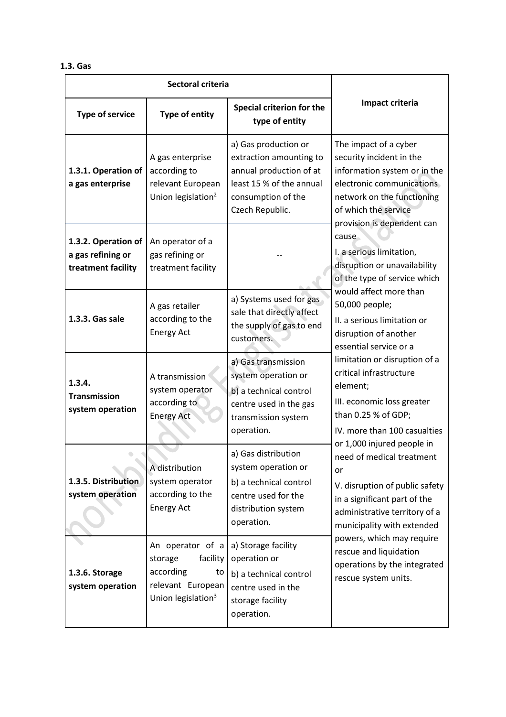### **1.3. Gas**

| Sectoral criteria                                              |                                                                                                                   |                                                                                                                                                 |                                                                                                                                                                                                    |
|----------------------------------------------------------------|-------------------------------------------------------------------------------------------------------------------|-------------------------------------------------------------------------------------------------------------------------------------------------|----------------------------------------------------------------------------------------------------------------------------------------------------------------------------------------------------|
| <b>Type of service</b>                                         | <b>Type of entity</b>                                                                                             | Special criterion for the<br>type of entity                                                                                                     | Impact criteria                                                                                                                                                                                    |
| 1.3.1. Operation of<br>a gas enterprise                        | A gas enterprise<br>according to<br>relevant European<br>Union legislation <sup>2</sup>                           | a) Gas production or<br>extraction amounting to<br>annual production of at<br>least 15 % of the annual<br>consumption of the<br>Czech Republic. | The impact of a cyber<br>security incident in the<br>information system or in the<br>electronic communications<br>network on the functioning<br>of which the service<br>provision is dependent can |
| 1.3.2. Operation of<br>a gas refining or<br>treatment facility | An operator of a<br>gas refining or<br>treatment facility                                                         |                                                                                                                                                 | cause<br>I. a serious limitation,<br>disruption or unavailability<br>of the type of service which                                                                                                  |
| 1.3.3. Gas sale                                                | A gas retailer<br>according to the<br><b>Energy Act</b>                                                           | a) Systems used for gas<br>sale that directly affect<br>the supply of gas to end<br>customers.                                                  | would affect more than<br>50,000 people;<br>II. a serious limitation or<br>disruption of another<br>essential service or a                                                                         |
| 1.3.4.<br><b>Transmission</b><br>system operation              | A transmission<br>system operator<br>according to<br><b>Energy Act</b>                                            | a) Gas transmission<br>system operation or<br>b) a technical control<br>centre used in the gas<br>transmission system<br>operation.             | limitation or disruption of a<br>critical infrastructure<br>element;<br>III. economic loss greater<br>than 0.25 % of GDP;<br>IV. more than 100 casualties<br>or 1,000 injured people in            |
| 1.3.5. Distribution<br>system operation                        | A distribution<br>system operator<br>according to the<br><b>Energy Act</b>                                        | a) Gas distribution<br>system operation or<br>b) a technical control<br>centre used for the<br>distribution system<br>operation.                | need of medical treatment<br>or<br>V. disruption of public safety<br>in a significant part of the<br>administrative territory of a<br>municipality with extended                                   |
| 1.3.6. Storage<br>system operation                             | An operator of a<br>facility<br>storage<br>according<br>to<br>relevant European<br>Union legislation <sup>3</sup> | a) Storage facility<br>operation or<br>b) a technical control<br>centre used in the<br>storage facility<br>operation.                           | powers, which may require<br>rescue and liquidation<br>operations by the integrated<br>rescue system units.                                                                                        |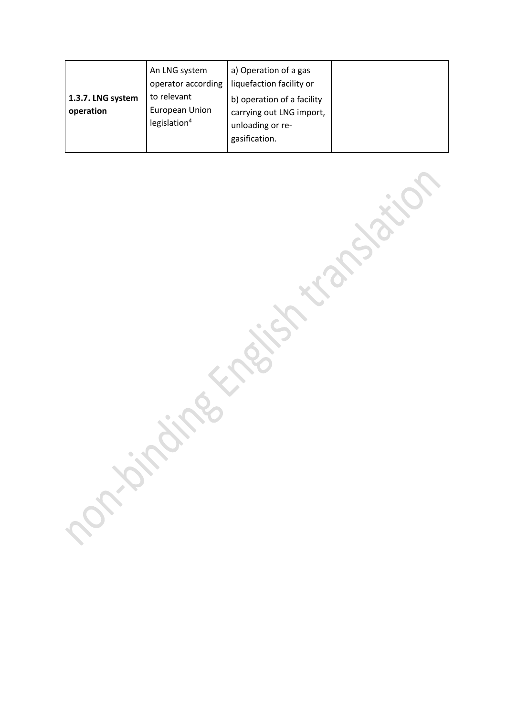| 1.3.7. LNG system<br>operation | An LNG system<br>operator according<br>to relevant<br>European Union | a) Operation of a gas<br>liquefaction facility or<br>b) operation of a facility<br>carrying out LNG import, |  |
|--------------------------------|----------------------------------------------------------------------|-------------------------------------------------------------------------------------------------------------|--|
|                                | legislation $4$                                                      | unloading or re-<br>gasification.                                                                           |  |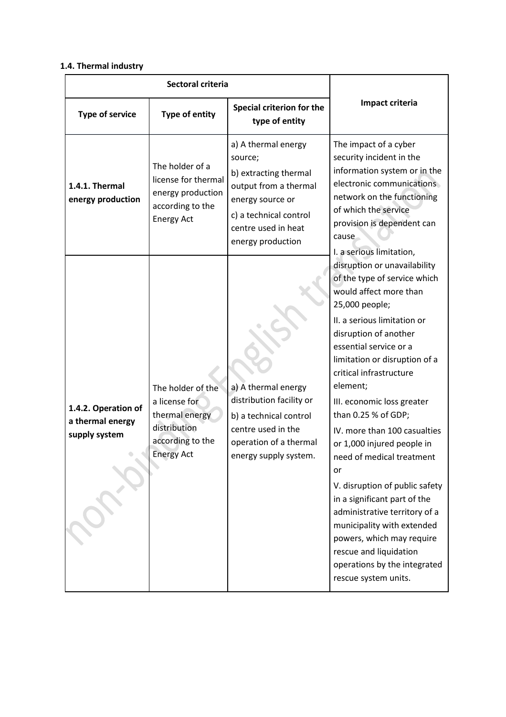## **1.4. Thermal industry**

| Sectoral criteria                                        |                                                                                                               |                                                                                                                                                                            |                                                                                                                                                                                                                                                                                                                                                                                                                                                                                                                                                                                                                                                                          |
|----------------------------------------------------------|---------------------------------------------------------------------------------------------------------------|----------------------------------------------------------------------------------------------------------------------------------------------------------------------------|--------------------------------------------------------------------------------------------------------------------------------------------------------------------------------------------------------------------------------------------------------------------------------------------------------------------------------------------------------------------------------------------------------------------------------------------------------------------------------------------------------------------------------------------------------------------------------------------------------------------------------------------------------------------------|
| <b>Type of service</b>                                   | Type of entity                                                                                                | Special criterion for the<br>type of entity                                                                                                                                | Impact criteria                                                                                                                                                                                                                                                                                                                                                                                                                                                                                                                                                                                                                                                          |
| 1.4.1. Thermal<br>energy production                      | The holder of a<br>license for thermal<br>energy production<br>according to the<br><b>Energy Act</b>          | a) A thermal energy<br>source;<br>b) extracting thermal<br>output from a thermal<br>energy source or<br>c) a technical control<br>centre used in heat<br>energy production | The impact of a cyber<br>security incident in the<br>information system or in the<br>electronic communications<br>network on the functioning<br>of which the service<br>provision is dependent can<br>cause<br>I. a serious limitation,                                                                                                                                                                                                                                                                                                                                                                                                                                  |
| 1.4.2. Operation of<br>a thermal energy<br>supply system | The holder of the<br>a license for<br>thermal energy<br>distribution<br>according to the<br><b>Energy Act</b> | a) A thermal energy<br>distribution facility or<br>b) a technical control<br>centre used in the<br>operation of a thermal<br>energy supply system.                         | disruption or unavailability<br>of the type of service which<br>would affect more than<br>25,000 people;<br>II. a serious limitation or<br>disruption of another<br>essential service or a<br>limitation or disruption of a<br>critical infrastructure<br>element;<br>III. economic loss greater<br>than 0.25 % of GDP;<br>IV. more than 100 casualties<br>or 1,000 injured people in<br>need of medical treatment<br>or<br>V. disruption of public safety<br>in a significant part of the<br>administrative territory of a<br>municipality with extended<br>powers, which may require<br>rescue and liquidation<br>operations by the integrated<br>rescue system units. |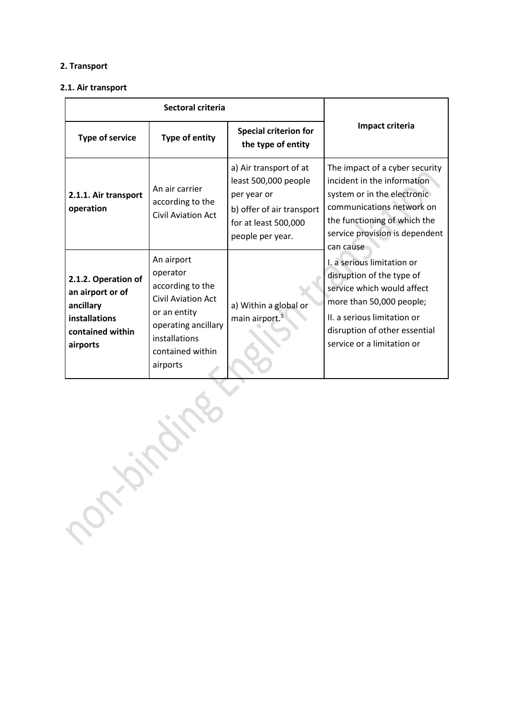## **2. Transport**

#### **2.1. Air transport**

| Sectoral criteria                                                                                     |                                                                                                                                                                 |                                                                                                                                        |                                                                                                                                                                                                                 |
|-------------------------------------------------------------------------------------------------------|-----------------------------------------------------------------------------------------------------------------------------------------------------------------|----------------------------------------------------------------------------------------------------------------------------------------|-----------------------------------------------------------------------------------------------------------------------------------------------------------------------------------------------------------------|
| <b>Type of service</b>                                                                                | Type of entity                                                                                                                                                  | <b>Special criterion for</b><br>the type of entity                                                                                     | Impact criteria                                                                                                                                                                                                 |
| 2.1.1. Air transport<br>operation                                                                     | An air carrier<br>according to the<br><b>Civil Aviation Act</b>                                                                                                 | a) Air transport of at<br>least 500,000 people<br>per year or<br>b) offer of air transport<br>for at least 500,000<br>people per year. | The impact of a cyber security<br>incident in the information<br>system or in the electronic<br>communications network on<br>the functioning of which the<br>service provision is dependent<br>can cause        |
| 2.1.2. Operation of<br>an airport or of<br>ancillary<br>installations<br>contained within<br>airports | An airport<br>operator<br>according to the<br><b>Civil Aviation Act</b><br>or an entity<br>operating ancillary<br>installations<br>contained within<br>airports | a) Within a global or<br>main airport. <sup>5</sup>                                                                                    | I. a serious limitation or<br>disruption of the type of<br>service which would affect<br>more than 50,000 people;<br>II. a serious limitation or<br>disruption of other essential<br>service or a limitation or |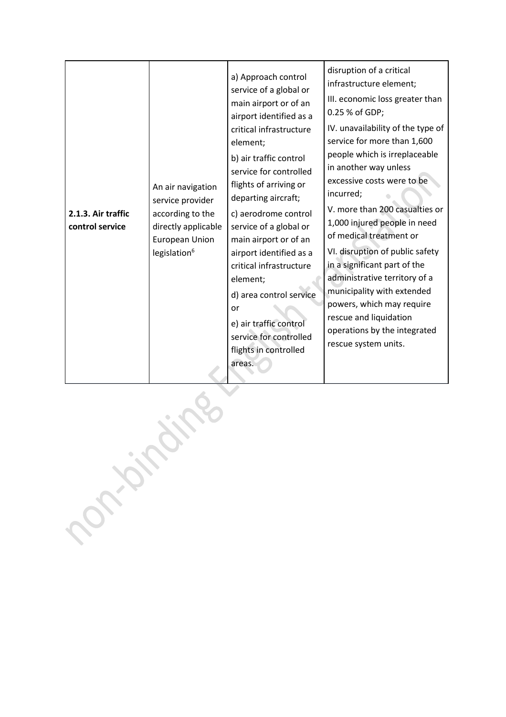| 2.1.3. Air traffic<br>control service | An air navigation<br>service provider<br>according to the<br>directly applicable<br>European Union<br>legislation <sup>6</sup> | a) Approach control<br>service of a global or<br>main airport or of an<br>airport identified as a<br>critical infrastructure<br>element;<br>b) air traffic control<br>service for controlled<br>flights of arriving or<br>departing aircraft;<br>c) aerodrome control<br>service of a global or<br>main airport or of an<br>airport identified as a<br>critical infrastructure<br>element;<br>d) area control service<br>or<br>e) air traffic control<br>service for controlled<br>flights in controlled | disruption of a critical<br>infrastructure element;<br>III. economic loss greater than<br>0.25 % of GDP;<br>IV. unavailability of the type of<br>service for more than 1,600<br>people which is irreplaceable<br>in another way unless<br>excessive costs were to be<br>incurred;<br>V. more than 200 casualties or<br>1,000 injured people in need<br>of medical treatment or<br>VI. disruption of public safety<br>in a significant part of the<br>administrative territory of a<br>municipality with extended<br>powers, which may require<br>rescue and liquidation<br>operations by the integrated<br>rescue system units. |
|---------------------------------------|--------------------------------------------------------------------------------------------------------------------------------|----------------------------------------------------------------------------------------------------------------------------------------------------------------------------------------------------------------------------------------------------------------------------------------------------------------------------------------------------------------------------------------------------------------------------------------------------------------------------------------------------------|---------------------------------------------------------------------------------------------------------------------------------------------------------------------------------------------------------------------------------------------------------------------------------------------------------------------------------------------------------------------------------------------------------------------------------------------------------------------------------------------------------------------------------------------------------------------------------------------------------------------------------|
|                                       | areas.                                                                                                                         |                                                                                                                                                                                                                                                                                                                                                                                                                                                                                                          |                                                                                                                                                                                                                                                                                                                                                                                                                                                                                                                                                                                                                                 |

Portained in the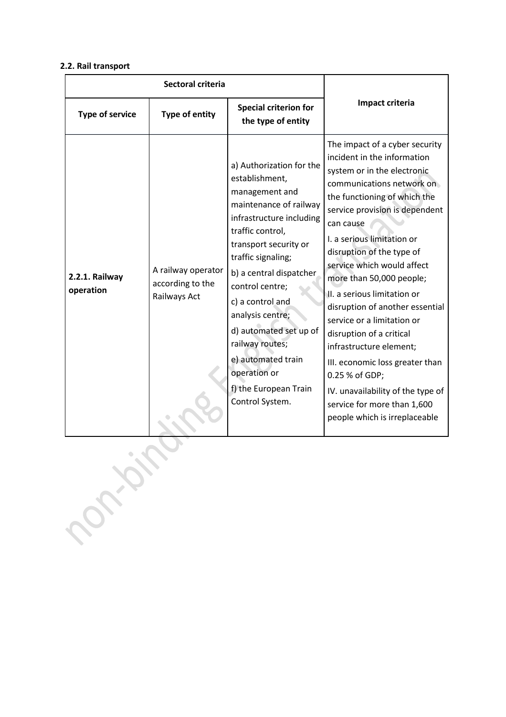#### **2.2. Rail transport**

| Sectoral criteria           |                                                        |                                                                                                                                                                                                                                                                                                                                                                                                            |                                                                                                                                                                                                                                                                                                                                                                                                                                                                                                                                                                                                                                                |
|-----------------------------|--------------------------------------------------------|------------------------------------------------------------------------------------------------------------------------------------------------------------------------------------------------------------------------------------------------------------------------------------------------------------------------------------------------------------------------------------------------------------|------------------------------------------------------------------------------------------------------------------------------------------------------------------------------------------------------------------------------------------------------------------------------------------------------------------------------------------------------------------------------------------------------------------------------------------------------------------------------------------------------------------------------------------------------------------------------------------------------------------------------------------------|
| <b>Type of service</b>      | Type of entity                                         | <b>Special criterion for</b><br>the type of entity                                                                                                                                                                                                                                                                                                                                                         | Impact criteria                                                                                                                                                                                                                                                                                                                                                                                                                                                                                                                                                                                                                                |
| 2.2.1. Railway<br>operation | A railway operator<br>according to the<br>Railways Act | a) Authorization for the<br>establishment,<br>management and<br>maintenance of railway<br>infrastructure including<br>traffic control,<br>transport security or<br>traffic signaling;<br>b) a central dispatcher<br>control centre;<br>c) a control and<br>analysis centre;<br>d) automated set up of<br>railway routes;<br>e) automated train<br>operation or<br>f) the European Train<br>Control System. | The impact of a cyber security<br>incident in the information<br>system or in the electronic<br>communications network on<br>the functioning of which the<br>service provision is dependent<br>can cause<br>I. a serious limitation or<br>disruption of the type of<br>service which would affect<br>more than 50,000 people;<br>II. a serious limitation or<br>disruption of another essential<br>service or a limitation or<br>disruption of a critical<br>infrastructure element;<br>III. economic loss greater than<br>0.25 % of GDP;<br>IV. unavailability of the type of<br>service for more than 1,600<br>people which is irreplaceable |
| Portal.                     |                                                        |                                                                                                                                                                                                                                                                                                                                                                                                            |                                                                                                                                                                                                                                                                                                                                                                                                                                                                                                                                                                                                                                                |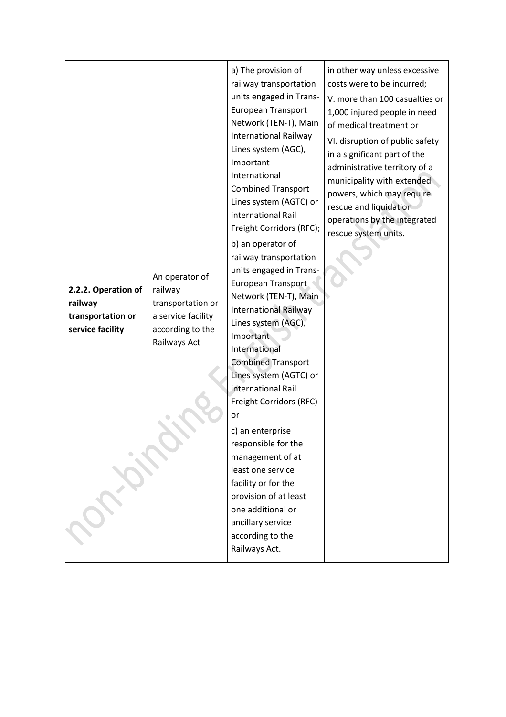| 2.2.2. Operation of<br>railway<br>railway<br>transportation or<br>service facility | Important<br>International<br>An operator of<br>transportation or<br>a service facility<br>according to the<br>Important<br>Railways Act<br>International<br>international Rail | a) The provision of<br>railway transportation<br>units engaged in Trans-<br><b>European Transport</b><br>Network (TEN-T), Main<br><b>International Railway</b><br>Lines system (AGC),<br><b>Combined Transport</b><br>Lines system (AGTC) or<br>international Rail<br>Freight Corridors (RFC);<br>b) an operator of<br>railway transportation<br>units engaged in Trans-<br>European Transport<br>Network (TEN-T), Main<br><b>International Railway</b><br>Lines system (AGC),<br><b>Combined Transport</b><br>Lines system (AGTC) or | in other way unless excessive<br>costs were to be incurred;<br>V. more than 100 casualties or<br>1,000 injured people in need<br>of medical treatment or<br>VI. disruption of public safety<br>in a significant part of the<br>administrative territory of a<br>municipality with extended<br>powers, which may require<br>rescue and liquidation<br>operations by the integrated<br>rescue system units. |
|------------------------------------------------------------------------------------|---------------------------------------------------------------------------------------------------------------------------------------------------------------------------------|---------------------------------------------------------------------------------------------------------------------------------------------------------------------------------------------------------------------------------------------------------------------------------------------------------------------------------------------------------------------------------------------------------------------------------------------------------------------------------------------------------------------------------------|-----------------------------------------------------------------------------------------------------------------------------------------------------------------------------------------------------------------------------------------------------------------------------------------------------------------------------------------------------------------------------------------------------------|
|------------------------------------------------------------------------------------|---------------------------------------------------------------------------------------------------------------------------------------------------------------------------------|---------------------------------------------------------------------------------------------------------------------------------------------------------------------------------------------------------------------------------------------------------------------------------------------------------------------------------------------------------------------------------------------------------------------------------------------------------------------------------------------------------------------------------------|-----------------------------------------------------------------------------------------------------------------------------------------------------------------------------------------------------------------------------------------------------------------------------------------------------------------------------------------------------------------------------------------------------------|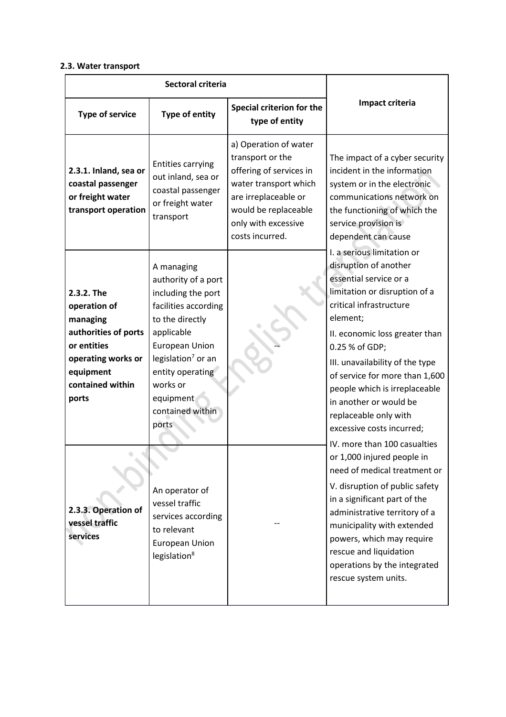### **2.3. Water transport**

| Sectoral criteria                                                                                                                             |                                                                                                                                                                                                                                                       |                                                                                                                                                                                         |                                                                                                                                                                                                                                                                                                                                                                                                                                 |
|-----------------------------------------------------------------------------------------------------------------------------------------------|-------------------------------------------------------------------------------------------------------------------------------------------------------------------------------------------------------------------------------------------------------|-----------------------------------------------------------------------------------------------------------------------------------------------------------------------------------------|---------------------------------------------------------------------------------------------------------------------------------------------------------------------------------------------------------------------------------------------------------------------------------------------------------------------------------------------------------------------------------------------------------------------------------|
| <b>Type of service</b>                                                                                                                        | Type of entity                                                                                                                                                                                                                                        | Special criterion for the<br>type of entity                                                                                                                                             | Impact criteria                                                                                                                                                                                                                                                                                                                                                                                                                 |
| 2.3.1. Inland, sea or<br>coastal passenger<br>or freight water<br>transport operation                                                         | <b>Entities carrying</b><br>out inland, sea or<br>coastal passenger<br>or freight water<br>transport                                                                                                                                                  | a) Operation of water<br>transport or the<br>offering of services in<br>water transport which<br>are irreplaceable or<br>would be replaceable<br>only with excessive<br>costs incurred. | The impact of a cyber security<br>incident in the information<br>system or in the electronic<br>communications network on<br>the functioning of which the<br>service provision is<br>dependent can cause                                                                                                                                                                                                                        |
| 2.3.2. The<br>operation of<br>managing<br>authorities of ports<br>or entities<br>operating works or<br>equipment<br>contained within<br>ports | A managing<br>authority of a port<br>including the port<br>facilities according<br>to the directly<br>applicable<br><b>European Union</b><br>legislation <sup>7</sup> or an<br>entity operating<br>works or<br>equipment<br>contained within<br>ports |                                                                                                                                                                                         | I. a serious limitation or<br>disruption of another<br>essential service or a<br>limitation or disruption of a<br>critical infrastructure<br>element;<br>II. economic loss greater than<br>0.25 % of GDP;<br>III. unavailability of the type<br>of service for more than 1,600<br>people which is irreplaceable<br>in another or would be<br>replaceable only with<br>excessive costs incurred;<br>IV. more than 100 casualties |
| 2.3.3. Operation of<br>vessel traffic<br>services                                                                                             | An operator of<br>vessel traffic<br>services according<br>to relevant<br><b>European Union</b><br>legislation <sup>8</sup>                                                                                                                            |                                                                                                                                                                                         | or 1,000 injured people in<br>need of medical treatment or<br>V. disruption of public safety<br>in a significant part of the<br>administrative territory of a<br>municipality with extended<br>powers, which may require<br>rescue and liquidation<br>operations by the integrated<br>rescue system units.                                                                                                                      |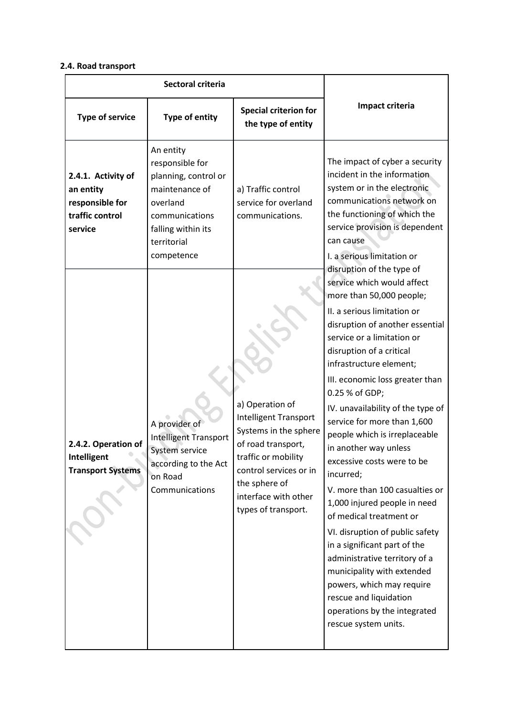## **2.4. Road transport**

| Sectoral criteria                                                                |                                                                                                                                                         |                                                                                                                                                                                                                 |                                                                                                                                                                                                                                                                                                                                                                                                                                                                                                                                                                                                                                                                                                                                                                                           |
|----------------------------------------------------------------------------------|---------------------------------------------------------------------------------------------------------------------------------------------------------|-----------------------------------------------------------------------------------------------------------------------------------------------------------------------------------------------------------------|-------------------------------------------------------------------------------------------------------------------------------------------------------------------------------------------------------------------------------------------------------------------------------------------------------------------------------------------------------------------------------------------------------------------------------------------------------------------------------------------------------------------------------------------------------------------------------------------------------------------------------------------------------------------------------------------------------------------------------------------------------------------------------------------|
| <b>Type of service</b>                                                           | <b>Type of entity</b>                                                                                                                                   | <b>Special criterion for</b><br>the type of entity                                                                                                                                                              | Impact criteria                                                                                                                                                                                                                                                                                                                                                                                                                                                                                                                                                                                                                                                                                                                                                                           |
| 2.4.1. Activity of<br>an entity<br>responsible for<br>traffic control<br>service | An entity<br>responsible for<br>planning, control or<br>maintenance of<br>overland<br>communications<br>falling within its<br>territorial<br>competence | a) Traffic control<br>service for overland<br>communications.                                                                                                                                                   | The impact of cyber a security<br>incident in the information<br>system or in the electronic<br>communications network on<br>the functioning of which the<br>service provision is dependent<br>can cause<br>I. a serious limitation or<br>disruption of the type of                                                                                                                                                                                                                                                                                                                                                                                                                                                                                                                       |
| 2.4.2. Operation of<br>Intelligent<br><b>Transport Systems</b>                   | A provider of<br><b>Intelligent Transport</b><br>System service<br>according to the Act<br>on Road<br>Communications                                    | a) Operation of<br><b>Intelligent Transport</b><br>Systems in the sphere<br>of road transport,<br>traffic or mobility<br>control services or in<br>the sphere of<br>interface with other<br>types of transport. | service which would affect<br>more than 50,000 people;<br>II. a serious limitation or<br>disruption of another essential<br>service or a limitation or<br>disruption of a critical<br>infrastructure element;<br>III. economic loss greater than<br>0.25 % of GDP;<br>IV. unavailability of the type of<br>service for more than 1,600<br>people which is irreplaceable<br>in another way unless<br>excessive costs were to be<br>incurred;<br>V. more than 100 casualties or<br>1,000 injured people in need<br>of medical treatment or<br>VI. disruption of public safety<br>in a significant part of the<br>administrative territory of a<br>municipality with extended<br>powers, which may require<br>rescue and liquidation<br>operations by the integrated<br>rescue system units. |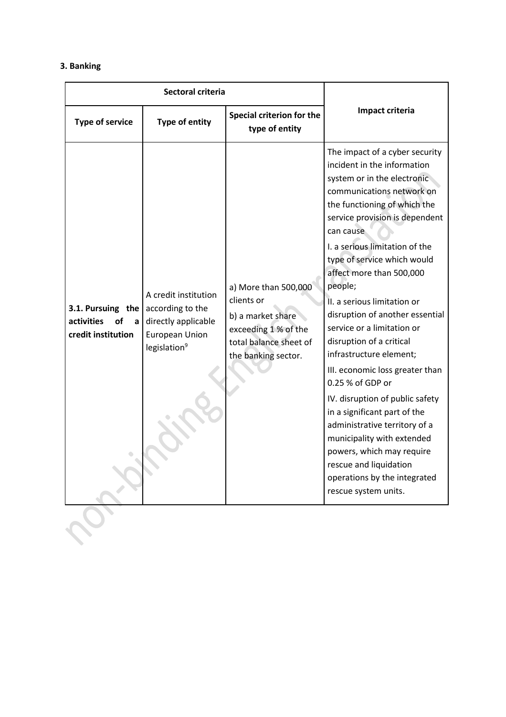## **3. Banking**

| Sectoral criteria                                                |                                                                                                                      |                                                                                                                                  |                                                                                                                                                                                                                                                                                                                                                                                                                                                                                                                                                                                                                                                                                                                                                                                 |
|------------------------------------------------------------------|----------------------------------------------------------------------------------------------------------------------|----------------------------------------------------------------------------------------------------------------------------------|---------------------------------------------------------------------------------------------------------------------------------------------------------------------------------------------------------------------------------------------------------------------------------------------------------------------------------------------------------------------------------------------------------------------------------------------------------------------------------------------------------------------------------------------------------------------------------------------------------------------------------------------------------------------------------------------------------------------------------------------------------------------------------|
| <b>Type of service</b>                                           | Type of entity                                                                                                       | Special criterion for the<br>type of entity                                                                                      | Impact criteria                                                                                                                                                                                                                                                                                                                                                                                                                                                                                                                                                                                                                                                                                                                                                                 |
| 3.1. Pursuing the<br>activities<br>იf<br>a<br>credit institution | A credit institution<br>according to the<br>directly applicable<br><b>European Union</b><br>legislation <sup>9</sup> | a) More than 500,000<br>clients or<br>b) a market share<br>exceeding 1 % of the<br>total balance sheet of<br>the banking sector. | The impact of a cyber security<br>incident in the information<br>system or in the electronic<br>communications network on<br>the functioning of which the<br>service provision is dependent<br>can cause<br>I. a serious limitation of the<br>type of service which would<br>affect more than 500,000<br>people;<br>II. a serious limitation or<br>disruption of another essential<br>service or a limitation or<br>disruption of a critical<br>infrastructure element;<br>III. economic loss greater than<br>0.25 % of GDP or<br>IV. disruption of public safety<br>in a significant part of the<br>administrative territory of a<br>municipality with extended<br>powers, which may require<br>rescue and liquidation<br>operations by the integrated<br>rescue system units. |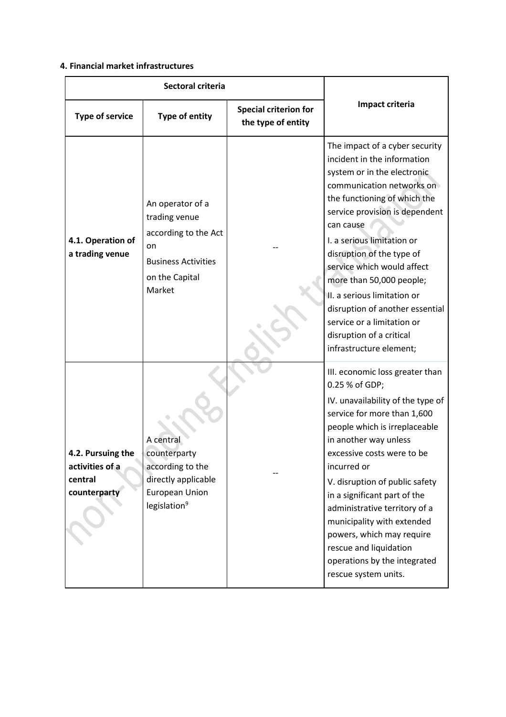## **4. Financial market infrastructures**

| <b>Sectoral criteria</b>                                        |                                                                                                                           |                                                    |                                                                                                                                                                                                                                                                                                                                                                                                                                                                                      |
|-----------------------------------------------------------------|---------------------------------------------------------------------------------------------------------------------------|----------------------------------------------------|--------------------------------------------------------------------------------------------------------------------------------------------------------------------------------------------------------------------------------------------------------------------------------------------------------------------------------------------------------------------------------------------------------------------------------------------------------------------------------------|
| <b>Type of service</b>                                          | Type of entity                                                                                                            | <b>Special criterion for</b><br>the type of entity | Impact criteria                                                                                                                                                                                                                                                                                                                                                                                                                                                                      |
| 4.1. Operation of<br>a trading venue                            | An operator of a<br>trading venue<br>according to the Act<br>on<br><b>Business Activities</b><br>on the Capital<br>Market |                                                    | The impact of a cyber security<br>incident in the information<br>system or in the electronic<br>communication networks on<br>the functioning of which the<br>service provision is dependent<br>can cause<br>I. a serious limitation or<br>disruption of the type of<br>service which would affect<br>more than 50,000 people;<br>II. a serious limitation or<br>disruption of another essential<br>service or a limitation or<br>disruption of a critical<br>infrastructure element; |
| 4.2. Pursuing the<br>activities of a<br>central<br>counterparty | A central<br>counterparty<br>according to the<br>directly applicable<br><b>European Union</b><br>legislation <sup>9</sup> |                                                    | III. economic loss greater than<br>0.25 % of GDP;<br>IV. unavailability of the type of<br>service for more than 1,600<br>people which is irreplaceable<br>in another way unless<br>excessive costs were to be<br>incurred or<br>V. disruption of public safety<br>in a significant part of the<br>administrative territory of a<br>municipality with extended<br>powers, which may require<br>rescue and liquidation<br>operations by the integrated<br>rescue system units.         |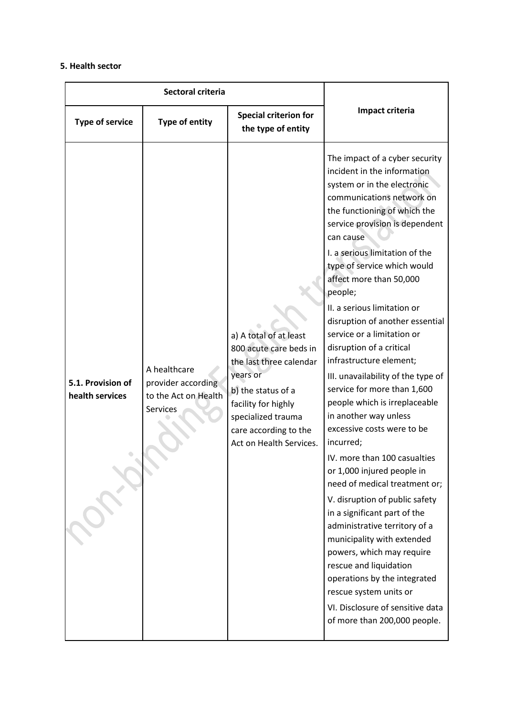### **5. Health sector**

| Sectoral criteria                    |                                                                        |                                                                                                                                                                                                                |                                                                                                                                                                                                                                                                                                                                                                                                                                                                                                                                                                                                                                                                                                                                                                                                                                                                                                                                                                                                                                                                       |
|--------------------------------------|------------------------------------------------------------------------|----------------------------------------------------------------------------------------------------------------------------------------------------------------------------------------------------------------|-----------------------------------------------------------------------------------------------------------------------------------------------------------------------------------------------------------------------------------------------------------------------------------------------------------------------------------------------------------------------------------------------------------------------------------------------------------------------------------------------------------------------------------------------------------------------------------------------------------------------------------------------------------------------------------------------------------------------------------------------------------------------------------------------------------------------------------------------------------------------------------------------------------------------------------------------------------------------------------------------------------------------------------------------------------------------|
| <b>Type of service</b>               | Type of entity                                                         | <b>Special criterion for</b><br>the type of entity                                                                                                                                                             | Impact criteria                                                                                                                                                                                                                                                                                                                                                                                                                                                                                                                                                                                                                                                                                                                                                                                                                                                                                                                                                                                                                                                       |
| 5.1. Provision of<br>health services | A healthcare<br>provider according<br>to the Act on Health<br>Services | a) A total of at least<br>800 acute care beds in<br>the last three calendar<br>years or<br>b) the status of a<br>facility for highly<br>specialized trauma<br>care according to the<br>Act on Health Services. | The impact of a cyber security<br>incident in the information<br>system or in the electronic<br>communications network on<br>the functioning of which the<br>service provision is dependent<br>can cause<br>I. a serious limitation of the<br>type of service which would<br>affect more than 50,000<br>people;<br>II. a serious limitation or<br>disruption of another essential<br>service or a limitation or<br>disruption of a critical<br>infrastructure element;<br>III. unavailability of the type of<br>service for more than 1,600<br>people which is irreplaceable<br>in another way unless<br>excessive costs were to be<br>incurred;<br>IV. more than 100 casualties<br>or 1,000 injured people in<br>need of medical treatment or;<br>V. disruption of public safety<br>in a significant part of the<br>administrative territory of a<br>municipality with extended<br>powers, which may require<br>rescue and liquidation<br>operations by the integrated<br>rescue system units or<br>VI. Disclosure of sensitive data<br>of more than 200,000 people. |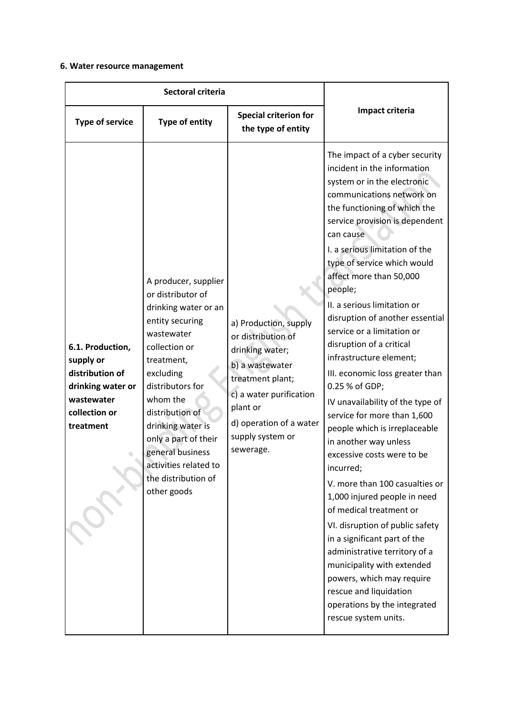## **6. Water resource management**

| Sectoral criteria                                                                                                 |                                                                                                                                                                                                                                                                                                                                   |                                                                                                                                                                                                          |                                                                                                                                                                                                                                                                                                                                                                                                                                                                                                                                                                                                                                                                                                                                                                                                                                                                                                                                                                                                                                                   |
|-------------------------------------------------------------------------------------------------------------------|-----------------------------------------------------------------------------------------------------------------------------------------------------------------------------------------------------------------------------------------------------------------------------------------------------------------------------------|----------------------------------------------------------------------------------------------------------------------------------------------------------------------------------------------------------|---------------------------------------------------------------------------------------------------------------------------------------------------------------------------------------------------------------------------------------------------------------------------------------------------------------------------------------------------------------------------------------------------------------------------------------------------------------------------------------------------------------------------------------------------------------------------------------------------------------------------------------------------------------------------------------------------------------------------------------------------------------------------------------------------------------------------------------------------------------------------------------------------------------------------------------------------------------------------------------------------------------------------------------------------|
| <b>Type of service</b>                                                                                            | <b>Type of entity</b>                                                                                                                                                                                                                                                                                                             | <b>Special criterion for</b><br>the type of entity                                                                                                                                                       | Impact criteria                                                                                                                                                                                                                                                                                                                                                                                                                                                                                                                                                                                                                                                                                                                                                                                                                                                                                                                                                                                                                                   |
| 6.1. Production,<br>supply or<br>distribution of<br>drinking water or<br>wastewater<br>collection or<br>treatment | A producer, supplier<br>or distributor of<br>drinking water or an<br>entity securing<br>wastewater<br>collection or<br>treatment,<br>excluding<br>distributors for<br>whom the<br>distribution of<br>drinking water is<br>only a part of their<br>general business<br>activities related to<br>the distribution of<br>other goods | a) Production, supply<br>or distribution of<br>drinking water;<br>b) a wastewater<br>treatment plant;<br>c) a water purification<br>plant or<br>d) operation of a water<br>supply system or<br>sewerage. | The impact of a cyber security<br>incident in the information<br>system or in the electronic<br>communications network on<br>the functioning of which the<br>service provision is dependent<br>can cause<br>I. a serious limitation of the<br>type of service which would<br>affect more than 50,000<br>people;<br>II. a serious limitation or<br>disruption of another essential<br>service or a limitation or<br>disruption of a critical<br>infrastructure element;<br>III. economic loss greater than<br>0.25 % of GDP;<br>IV unavailability of the type of<br>service for more than 1,600<br>people which is irreplaceable<br>in another way unless<br>excessive costs were to be<br>incurred;<br>V. more than 100 casualties or<br>1,000 injured people in need<br>of medical treatment or<br>VI. disruption of public safety<br>in a significant part of the<br>administrative territory of a<br>municipality with extended<br>powers, which may require<br>rescue and liquidation<br>operations by the integrated<br>rescue system units. |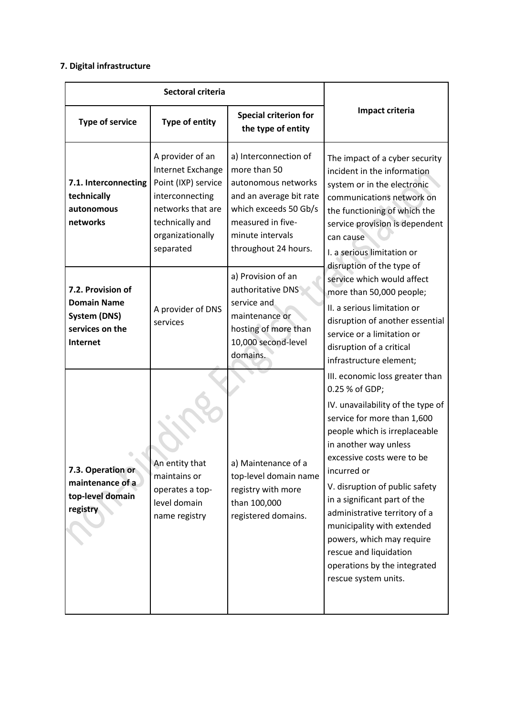## **7. Digital infrastructure**

| Sectoral criteria                                                                             |                                                                                                                                                          |                                                                                                                                                                                   |                                                                                                                                                                                                                                                                                                                                                                                                                                                                              |
|-----------------------------------------------------------------------------------------------|----------------------------------------------------------------------------------------------------------------------------------------------------------|-----------------------------------------------------------------------------------------------------------------------------------------------------------------------------------|------------------------------------------------------------------------------------------------------------------------------------------------------------------------------------------------------------------------------------------------------------------------------------------------------------------------------------------------------------------------------------------------------------------------------------------------------------------------------|
| <b>Type of service</b>                                                                        | Type of entity                                                                                                                                           | <b>Special criterion for</b><br>the type of entity                                                                                                                                | Impact criteria                                                                                                                                                                                                                                                                                                                                                                                                                                                              |
| 7.1. Interconnecting<br>technically<br>autonomous<br>networks                                 | A provider of an<br>Internet Exchange<br>Point (IXP) service<br>interconnecting<br>networks that are<br>technically and<br>organizationally<br>separated | a) Interconnection of<br>more than 50<br>autonomous networks<br>and an average bit rate<br>which exceeds 50 Gb/s<br>measured in five-<br>minute intervals<br>throughout 24 hours. | The impact of a cyber security<br>incident in the information<br>system or in the electronic<br>communications network on<br>the functioning of which the<br>service provision is dependent<br>can cause<br>I. a serious limitation or                                                                                                                                                                                                                                       |
| 7.2. Provision of<br><b>Domain Name</b><br><b>System (DNS)</b><br>services on the<br>Internet | A provider of DNS<br>services                                                                                                                            | a) Provision of an<br>authoritative DNS<br>service and<br>maintenance or<br>hosting of more than<br>10,000 second-level<br>domains.                                               | disruption of the type of<br>service which would affect<br>more than 50,000 people;<br>II. a serious limitation or<br>disruption of another essential<br>service or a limitation or<br>disruption of a critical<br>infrastructure element;                                                                                                                                                                                                                                   |
| 7.3. Operation or<br>maintenance of a<br>top-level domain<br>registry                         | An entity that<br>maintains or<br>operates a top-<br>level domain<br>name registry                                                                       | a) Maintenance of a<br>top-level domain name<br>registry with more<br>than 100,000<br>registered domains.                                                                         | III. economic loss greater than<br>0.25 % of GDP;<br>IV. unavailability of the type of<br>service for more than 1,600<br>people which is irreplaceable<br>in another way unless<br>excessive costs were to be<br>incurred or<br>V. disruption of public safety<br>in a significant part of the<br>administrative territory of a<br>municipality with extended<br>powers, which may require<br>rescue and liquidation<br>operations by the integrated<br>rescue system units. |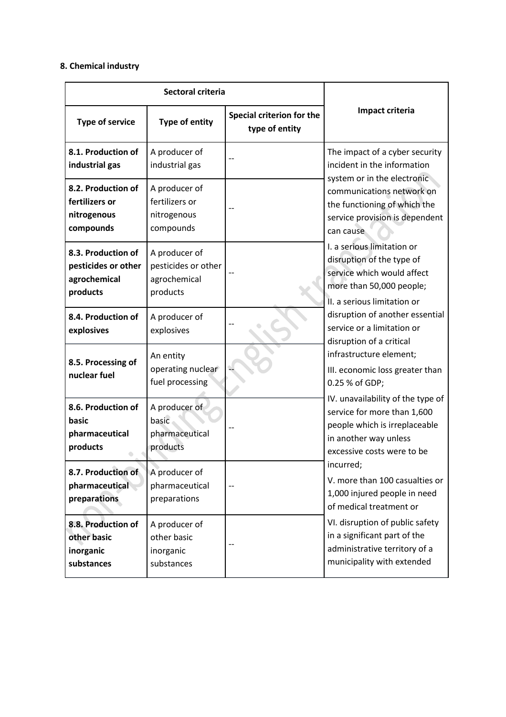## **8. Chemical industry**

| Sectoral criteria                                                     |                                                                  |                                             |                                                                                                                                                          |
|-----------------------------------------------------------------------|------------------------------------------------------------------|---------------------------------------------|----------------------------------------------------------------------------------------------------------------------------------------------------------|
| <b>Type of service</b>                                                | Type of entity                                                   | Special criterion for the<br>type of entity | Impact criteria                                                                                                                                          |
| 8.1. Production of<br>industrial gas                                  | A producer of<br>industrial gas                                  |                                             | The impact of a cyber security<br>incident in the information<br>system or in the electronic                                                             |
| 8.2. Production of<br>fertilizers or<br>nitrogenous<br>compounds      | A producer of<br>fertilizers or<br>nitrogenous<br>compounds      |                                             | communications network on<br>the functioning of which the<br>service provision is dependent<br>can cause                                                 |
| 8.3. Production of<br>pesticides or other<br>agrochemical<br>products | A producer of<br>pesticides or other<br>agrochemical<br>products |                                             | I. a serious limitation or<br>disruption of the type of<br>service which would affect<br>more than 50,000 people;                                        |
| 8.4. Production of<br>explosives                                      | A producer of<br>explosives                                      |                                             | II. a serious limitation or<br>disruption of another essential<br>service or a limitation or<br>disruption of a critical                                 |
| 8.5. Processing of<br>nuclear fuel                                    | An entity<br>operating nuclear<br>fuel processing                |                                             | infrastructure element;<br>III. economic loss greater than<br>0.25 % of GDP;                                                                             |
| 8.6. Production of<br>basic<br>pharmaceutical<br>products             | A producer of<br>basic<br>pharmaceutical<br>products             |                                             | IV. unavailability of the type of<br>service for more than 1,600<br>people which is irreplaceable<br>in another way unless<br>excessive costs were to be |
| 8.7. Production of<br>pharmaceutical<br>preparations                  | A producer of<br>pharmaceutical<br>preparations                  | $-$                                         | incurred;<br>V. more than 100 casualties or<br>1,000 injured people in need<br>of medical treatment or                                                   |
| 8.8. Production of<br>other basic<br>inorganic<br>substances          | A producer of<br>other basic<br>inorganic<br>substances          |                                             | VI. disruption of public safety<br>in a significant part of the<br>administrative territory of a<br>municipality with extended                           |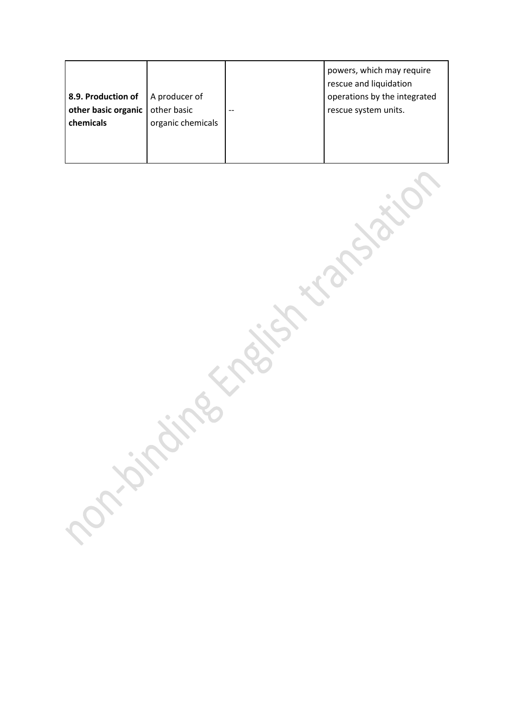|                     |                   |       | powers, which may require<br>rescue and liquidation |
|---------------------|-------------------|-------|-----------------------------------------------------|
| 8.9. Production of  | A producer of     |       | operations by the integrated                        |
| other basic organic | other basic       | $- -$ | rescue system units.                                |
| chemicals           | organic chemicals |       |                                                     |
|                     |                   |       |                                                     |
|                     |                   |       |                                                     |